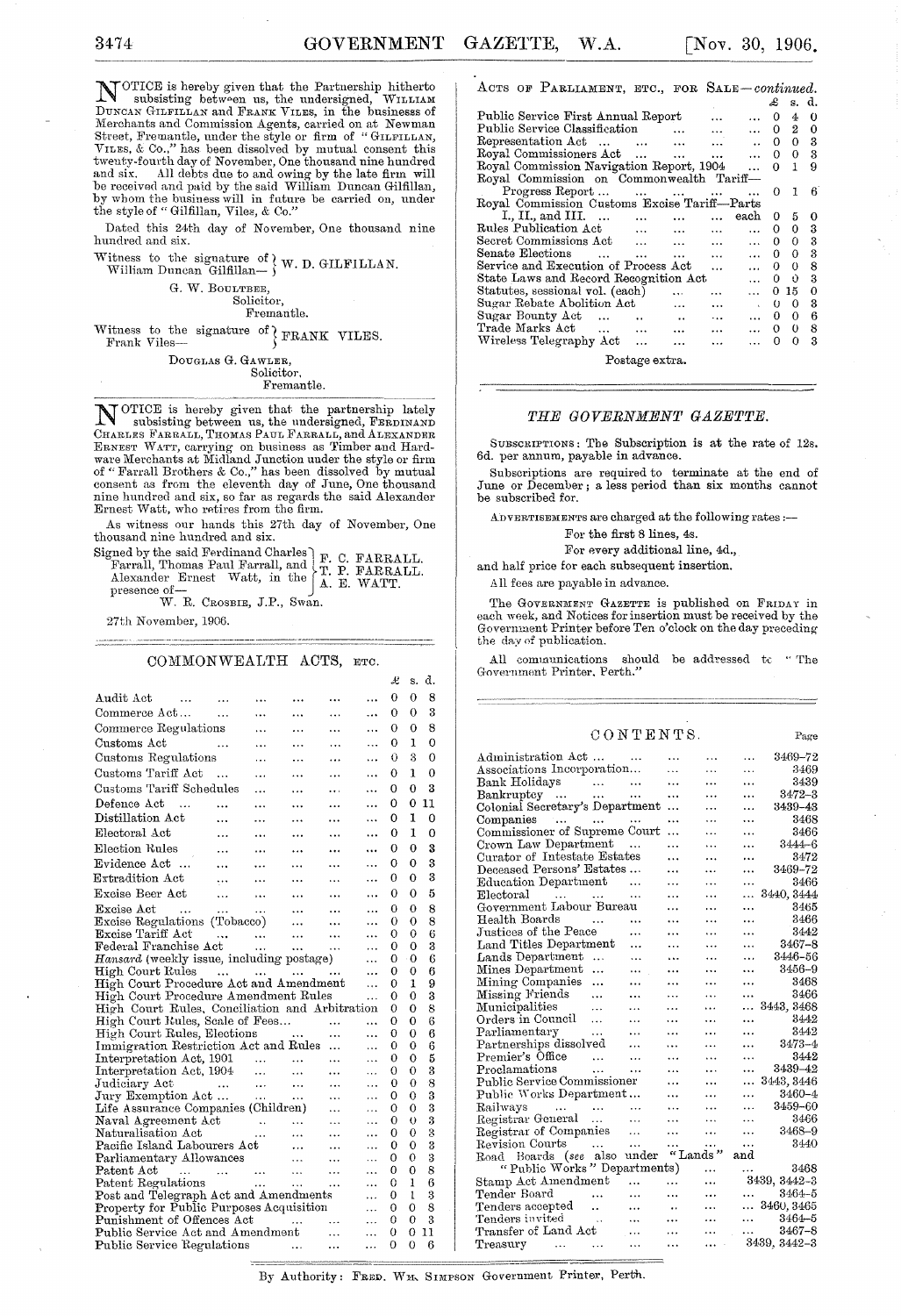NOTICE is hereby given that the Partnership hitherto subsisting between us, the undersigned, WILLIAM DUNCAN GILFILLAN and FRANK VILES, in the businesss of Merchants and Commission Agents, carried on at Newman<br>Street, Fremantle, under the style or firm of "GILFILLAN,<br>VILES, & Co.," has been dissolved by mutual consent this<br>twenty-fourth day of November, One thousand nine hund

Dated this 24th day of November, One thousand nine hundred and six.

Witness to the signature of  $\}$  W. D. GILFILLAN.<br>William Duncan Gilfillan— $\}$ 

G. W. BOULTBEE,

Solicitor, Fremantle.

Witness to the signature of  $\text{FRANK}$  VILES.<br>Frank Viles-

DOUGLAS G. GAWLER, Solicitor.

Fremantle.

N OTICE is hereby given that the partnership lately subsisting between us, the undersigned, FERDINAND CHARLES FARRALL, THOMAS PAUL FARRALL, and ALEXANDER ERNEST WATT, carrying on business as Timber and Hardware Merchants at Midland Junction under the style or firm<br>of "Farrall Brothers & Co.," has been dissolved by mutual<br>consent as from the eleventh day of June, One thousand<br>nine hundred and six, so far as regards the said A

As witness our hands this 27th day of November, One thousand nine hundred and six.

Signed by the said Ferdinand Charles<br>
Signed by the said Ferdinand Charles<br>
F. C. FARRALL.<br>
Alexander Ernest Watt, in the A. E. WATT.<br>
presence of--<br>
W. R. CROSBIE, J.P., Swan.

27th November, 1906.

#### COMMONWEALTH ACTS, ETC.

|                                                                 |                                                       |               |                                                         |                |            | £ | s.       | d. |  |
|-----------------------------------------------------------------|-------------------------------------------------------|---------------|---------------------------------------------------------|----------------|------------|---|----------|----|--|
| Audit Act<br>$\sim 100$ and $\sim 100$<br><b>Contract State</b> |                                                       |               |                                                         |                | .          | 0 | 0        | 8  |  |
| Commerce Act                                                    |                                                       | $\ddotsc$     | .                                                       | $\cdots$       | $\ddotsc$  | 0 | 0        | 3  |  |
| Commerce Regulations                                            |                                                       | $\cdots$      | .                                                       | $\cdots$       | $\cdots$   | Ω | 0        | 8  |  |
| للمستنب<br>Customs Act                                          |                                                       | $\ddotsc$     | .                                                       | .              | .          | 0 | 1        | 0  |  |
| Customs Regulations                                             |                                                       | .             | .                                                       |                | $\cdots$   | 0 | 3        | 0  |  |
| Customs Tariff Act                                              | $\sim$                                                | .             | .                                                       | $\cdots$       | $\cdots$   | 0 | 1        | 0  |  |
| Customs Tariff Schedules                                        |                                                       | .             | $\cdots$                                                | $\cdots$       | .          | 0 | $\Omega$ | 3  |  |
| Defence Act<br>$\sim$                                           |                                                       | .             | .                                                       | $\cdots$       |            | 0 | 0        | 11 |  |
| Distillation Act                                                |                                                       |               |                                                         |                |            | 0 | 1        | 0  |  |
|                                                                 | .                                                     |               | $\ddotsc$                                               | .              | $\cdots$   |   |          |    |  |
| Electoral Act                                                   | $\ddotsc$                                             |               | .                                                       |                |            | 0 | 1        | 0  |  |
| Election Rules                                                  | $\cdots$                                              |               | .                                                       | .              |            | 0 | 0        | 3  |  |
| Evidence Act                                                    | $\ddotsc$                                             |               |                                                         |                |            | O | 0        | 3  |  |
| Extradition Act                                                 |                                                       |               | .                                                       | .              |            | 0 | 0        | 3  |  |
| Excise Beer Act                                                 | $\ddotsc$                                             | $\cdots$      |                                                         | .              | $\cdots$   | 0 | 0        | 5  |  |
| Excise Act<br>$\sim 100$                                        | $\ddotsc$                                             | $\ddotsc$     | $\ddotsc$                                               |                | $\ddotsc$  | 0 | 0        | 8  |  |
| Excise Regulations (Tobacco)                                    |                                                       | $\sim 100$    |                                                         |                |            | 0 | 0        | 8  |  |
| Excise Tariff Act                                               | $\overline{\text{a} \text{ a}}$ $\overline{\text{b}}$ | $\sim$ $\sim$ |                                                         | $\ddotsc$      | $\ddotsc$  | 0 | 0        | 6  |  |
| Federal Franchise Act                                           |                                                       |               | $\sim 10^{-1}$                                          | $\cdots$       | $\cdots$   | 0 | 0        | 3  |  |
| Hansard (weekly issue, including postage)                       |                                                       |               |                                                         |                | $\cdots$   | 0 | $\Omega$ | 6  |  |
| High Court Rules                                                |                                                       |               |                                                         |                | $\cdots$   | 0 | 0        | 6  |  |
| High Court Procedure Act and Amendment                          |                                                       |               |                                                         |                | .          | 0 | 1        | 9  |  |
| High Court Procedure Amendment Rules                            |                                                       |               |                                                         |                | $\ddotsc$  | 0 | 0        | 3  |  |
| High Court Rules, Conciliation and Arbitration                  |                                                       |               |                                                         |                |            | O | 0        | 8  |  |
| High Court Rules, Scale of Fees                                 |                                                       |               |                                                         | $\cdots$       | $\ddotsc$  | 0 | 0        | 6  |  |
| High Court Rules, Elections                                     |                                                       |               |                                                         | .              | .          | 0 | $\Omega$ | 6  |  |
| Immigration Restriction Act and Rules                           |                                                       |               |                                                         |                |            | 0 | 0        | 6  |  |
| Interpretation Act, 1901<br>Interpretation Act, 1904            |                                                       |               |                                                         | $\cdots$       | $\ddotsc$  | 0 | 0        | 5  |  |
| Interpretation Act, 1904                                        |                                                       |               |                                                         | $\cdots$       | $\ddotsc$  | O | 0        | 3  |  |
| Judiciary Act                                                   | التبدين التبدين التبدين                               |               |                                                         | $\ddotsc$      | $\ddotsc$  | 0 | $\theta$ | 8  |  |
| Jury Exemption Act                                              |                                                       | $\ddotsc$     | $\sim 10^{-1}$                                          | .              | $\ddotsc$  | Ω | О        | 3  |  |
| Life Assurance Companies (Children)                             |                                                       |               |                                                         | $\cdots$       | Щ,         | 0 | 0        | 3  |  |
| Naval Agreement Act (1997)<br>Naturalisation Act (1997)  (1998) |                                                       |               |                                                         | $\cdots$       | $\ddotsc$  | 0 | ♦        | 3  |  |
|                                                                 |                                                       |               | $\sim 10^{-1}$                                          | $\cdots$       |            | 0 | 0        | 3  |  |
| Pacific Island Labourers Act                                    |                                                       |               |                                                         | .              | $\ddotsc$  | 0 | 0        | 3  |  |
| Parliamentary Allowances                                        |                                                       |               | $\mathbf{1}$ and                                        | $\ddotsc$      | $\dddotsc$ | 0 | 0        | 3  |  |
|                                                                 |                                                       |               |                                                         | $\cdots$       | .          | 0 | 0        | 8  |  |
|                                                                 |                                                       |               |                                                         | $\dots$        | $\ddotsc$  | 0 | 1        | 6  |  |
| Post and Telegraph Act and Amendments                           |                                                       |               |                                                         |                | $\ddotsc$  | 0 | 1        | 3  |  |
| Property for Public Purposes Acquisition                        |                                                       |               |                                                         |                | .          | 0 | 0        | 8  |  |
| Punishment of Offences Act                                      |                                                       |               |                                                         |                | $\ddotsc$  | 0 | 0        | 3  |  |
| Public Service Act and Amendment                                |                                                       |               | $\begin{array}{c}\n \quad \quad \quad \quad\end{array}$ | $\sim 10^{-1}$ | .          | 0 | 0        | 11 |  |
| Public Service Regulations                                      |                                                       |               |                                                         | $\ddotsc$      | $\ddotsc$  | Ω | 0        | В  |  |
|                                                                 |                                                       |               |                                                         |                |            |   |          |    |  |

| ACTS OF PARLIAMENT, ETC., FOR SALE-continued.                                                                                                                                                                                        |                |           |           |    |                  |   |  |  |  |
|--------------------------------------------------------------------------------------------------------------------------------------------------------------------------------------------------------------------------------------|----------------|-----------|-----------|----|------------------|---|--|--|--|
|                                                                                                                                                                                                                                      |                |           |           | £  | s. d.            |   |  |  |  |
| Public Service First Annual Report                                                                                                                                                                                                   |                | .         | $\ddotsc$ | 0  | 4                | 0 |  |  |  |
| Public Service Classification                                                                                                                                                                                                        | $\ddots$       | $\cdots$  | $\ddotsc$ | 0  | $\boldsymbol{2}$ | 0 |  |  |  |
| Representation Act<br>$\cdots$                                                                                                                                                                                                       | $\ddotsc$      | $\cdots$  |           | 0  | 0                | 3 |  |  |  |
| Royal Commissioners Act                                                                                                                                                                                                              | $\cdots$       | $\ddotsc$ |           | 0  | 0                | 3 |  |  |  |
| Royal Commission Navigation Report, 1904                                                                                                                                                                                             |                |           | $\cdots$  | 0  | 1                | 9 |  |  |  |
| Royal Commission on Commonwealth Tariff-                                                                                                                                                                                             |                |           |           |    |                  |   |  |  |  |
| Progress Report<br>and the company of the company of                                                                                                                                                                                 |                | $\cdots$  |           | 0  | 1                | В |  |  |  |
| Royal Commission Customs Excise Tariff-Parts                                                                                                                                                                                         |                |           |           |    |                  |   |  |  |  |
| I., II., and III.<br>$\ddotsc$                                                                                                                                                                                                       | $\ddotsc$      |           | each      | 0  | 5                | o |  |  |  |
| Rules Publication Act<br>$\ddotsc$                                                                                                                                                                                                   | $\cdots$       | $\ddotsc$ | .         | 0  | 0                | 3 |  |  |  |
| Secret Commissions Act<br>$\ddot{\phantom{a}}$                                                                                                                                                                                       | $\overline{a}$ | $\cdots$  | $\cdots$  | 0  | 0                | 3 |  |  |  |
| Senate Elections<br>$\ddotsc$<br>$\cdots$                                                                                                                                                                                            | $\cdots$       | $\cdots$  | $\ddotsc$ | 0  | 0                | 3 |  |  |  |
| Service and Execution of Process Act                                                                                                                                                                                                 |                | $\cdots$  | $\ddotsc$ | 0  | 0                | 8 |  |  |  |
| State Laws and Record Recognition Act                                                                                                                                                                                                |                |           | $\ddotsc$ | 0  | Û                | 3 |  |  |  |
| Statutes, sessional vol. (each)                                                                                                                                                                                                      | $\cdots$       | .         |           | 0  | 15.              | 0 |  |  |  |
| Sugar Rebate Abolition Act                                                                                                                                                                                                           | $\ddotsc$      | $\ddotsc$ |           | 0  | 0                | 3 |  |  |  |
| Sugar Bounty Act<br>$\ddots$<br>$\ddot{\phantom{a}}$                                                                                                                                                                                 | $\ddotsc$      | $\ddots$  | $\cdots$  | 0  | 0                | 6 |  |  |  |
| Trade Marks Act<br>$\ddotsc$<br>$\sim$ $\sim$ $\sim$                                                                                                                                                                                 | $\ddotsc$      | $\cdots$  |           | 0. | 0                | 8 |  |  |  |
| Wireless Telegraphy Act                                                                                                                                                                                                              |                | $\cdots$  |           | 0  | 0                | 3 |  |  |  |
| <b>Change of Contract Contract Contract Contract Contract Contract Contract Contract Contract Contract Contract Contract Contract Contract Contract Contract Contract Contract Contract Contract Contract Contract Contract Cont</b> |                |           |           |    |                  |   |  |  |  |

Postage extra.

### *THE GOVERNMENT GAZETTE.*

SUBSCRIPTIONS: Tbe Subscription is at the rate of 12s. 6d. per annum, payable in advance.

Subscriptions are required to terminate at the end of June or December; a less period than six months cannot be subscribed for.

ADVERTISEMENTS are charged at the following rates :--

For the first 8 lines, 4s.

For every additional line, 4d.,

and balf price for each subsequent insertion,

All fees are payable in advance.

The GOVERNMENT GAZETTE is published on FRIDAY in each week, and Notices for insertion must be received by the Government Printer before Ten o'clock on the day preceding the day or publication.

All communications should be addressed to "The Government Printer, Perth.'

### CONTENTS.

Page

| Administration Act                                          | .         |           | 3469–72<br>.             |
|-------------------------------------------------------------|-----------|-----------|--------------------------|
| Associations Incorporation                                  | .         | .         | 3469<br>.                |
| Bank Holidays<br>مماري المماري                              | $\ddotsc$ |           | 3439<br>$\cdots$         |
| Bankruptey<br>$\cdots$                                      | $\cdots$  | .         | $3472 - 3$<br>           |
| Colonial Secretary's Department                             | $\ddotsc$ | .         | 3439-43<br>.             |
| Companies                                                   |           | $\ddotsc$ | 3468<br>$\cdots$         |
| Commissioner of Supreme Court                               | $\ddotsc$ | .         | 3466<br>$\cdots$         |
| Crown Law Department                                        | .         | .         | 3444–6<br>.              |
| Curator of Intestate Estates                                | .         | .         | 3472<br>.                |
| Deceased Persons' Estates                                   | .         | .         | 3469-72<br>$\ddotsc$     |
| Education Department<br>$\cdots$                            | .         | .         | 3466<br>$\cdots$         |
| Electoral<br>                                               | .         | .         | 3440, 3444<br>$\ddotsc$  |
| Government Labour Bureau                                    | .         | .         | 3465<br>.                |
| Health Boards<br>$\sim 100$ and $\sim 100$<br>.             | .         | .         | 3466<br>$\cdots$         |
| Justices of the Peace<br>$\cdots$                           | .         | .         | 3442<br>$\cdots$         |
| Land Titles Department<br>                                  | .         |           | $3467 - 8$<br>$\ddotsc$  |
| Lands Department<br>$\ddotsc$                               | $\ddotsc$ |           | - 3446–56<br>$\ddotsc$   |
| Mines Department<br>$\ddotsc$<br>                           |           | $\ddotsc$ | 3456-9<br>$\ddotsc$      |
| Mining Companies<br>.<br>$\ddotsc$                          | .         | .         | 3468<br>.                |
| Missing Friends<br>Municipalities<br>$\ddotsc$<br>$\ddotsc$ | $\ddotsc$ | .         | 3466<br>$\cdots$         |
| Municipalities<br>$\sim$<br>.                               | .         | .         | $\ldots$ 3443, 3468      |
| Orders in Council<br>$\ddotsc$                              | $\cdots$  | .         | 3442<br>.                |
| $\sim 100$<br>Parliamentary<br>.                            |           | .         | 3442<br>$\cdots$         |
| Partnerships dissolved<br>.                                 | .         | .         | $3473 - 4$<br>$\cdots$   |
| Premier's Office<br>$\ddotsc$<br>$\ddotsc$                  | $\ddotsc$ | .         | 3442<br>                 |
| Proclamations<br>$\ddotsc$<br>$\ddotsc$                     | $\ddotsc$ |           | 3439–42<br>              |
| Public Service Commissioner                                 | .         | .         | 3443, 3446<br>.          |
| Public Works Department                                     | $\ddotsc$ | $\ddotsc$ | 3460-4<br>$\ddotsc$      |
| Railways<br>$\cdots$                                        | $\ddotsc$ | .         | 3459-60<br>$\cdots$      |
| Registrar General<br>$\ddotsc$                              |           | $\ddotsc$ | 3466<br>$\cdots$         |
| Registrar of Companies                                      | $\cdots$  | .         | 3468-9<br>$\cdots$       |
| Revision Courts<br>$\ddotsc$                                | .         | $\ddotsc$ | 3440<br>$\cdots$         |
| Road Boards (see also under                                 | "Lands"   |           | and                      |
| "Public Works" Departments)                                 |           | .         | 3468<br>.                |
| Stamp Act Amendment<br>$\cdots$                             | .         | $\ddotsc$ | 3439, 3442-3             |
| Tender Board<br><b>Contract State</b><br>                   | $\ddotsc$ | $\cdots$  | $\cdots$<br>3464-5       |
| Tenders accepted<br>$\ddotsc$                               | $\ddotsc$ | $\cdots$  | $\ldots$ 3460, 3465      |
| Tenders invited<br>$\sim 10^{11}$ km<br>$\ddotsc$           | $\cdots$  | .         | $3464 - 5$<br>ees in the |
| Transfer of Land Act<br>$\sim$                              | .         | $\cdots$  | $\dots$ 3467–8           |
| Treasury<br>.                                               | $\cdots$  | .         | 3439, 3442-3             |

By Authority: FRED. WM. SIMPSON Government Printer, Perth.